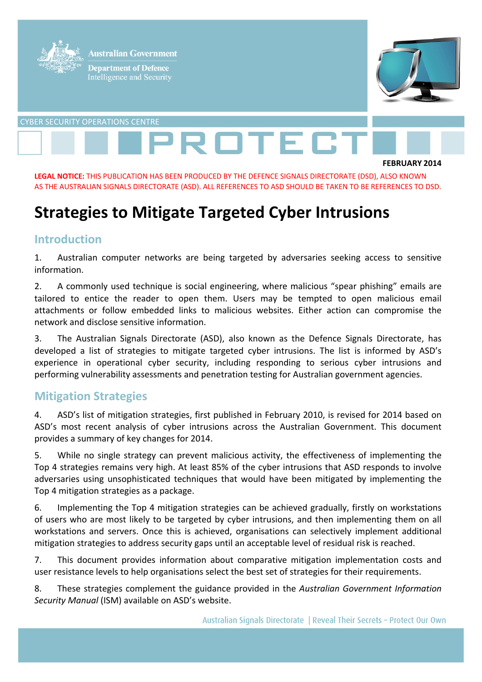

#### **LEGAL NOTICE:** THIS PUBLICATION HAS BEEN PRODUCED BY THE DEFENCE SIGNALS DIRECTORATE (DSD), ALSO KNOWN AS THE AUSTRALIAN SIGNALS DIRECTORATE (ASD). ALL REFERENCES TO ASD SHOULD BE TAKEN TO BE REFERENCES TO DSD.

# **Strategies to Mitigate Targeted Cyber Intrusions**

#### **Introduction**

1. Australian computer networks are being targeted by adversaries seeking access to sensitive information.

2. A commonly used technique is social engineering, where malicious "spear phishing" emails are tailored to entice the reader to open them. Users may be tempted to open malicious email attachments or follow embedded links to malicious websites. Either action can compromise the network and disclose sensitive information.

3. The Australian Signals Directorate (ASD), also known as the Defence Signals Directorate, has developed a list of strategies to mitigate targeted cyber intrusions. The list is informed by ASD's experience in operational cyber security, including responding to serious cyber intrusions and performing vulnerability assessments and penetration testing for Australian government agencies.

### **Mitigation Strategies**

4. ASD's list of mitigation strategies, first published in February 2010, is revised for 2014 based on ASD's most recent analysis of cyber intrusions across the Australian Government. This document provides a summary of key changes for 2014.

5. While no single strategy can prevent malicious activity, the effectiveness of implementing the Top 4 strategies remains very high. At least 85% of the cyber intrusions that ASD responds to involve adversaries using unsophisticated techniques that would have been mitigated by implementing the Top 4 mitigation strategies as a package.

6. Implementing the Top 4 mitigation strategies can be achieved gradually, firstly on workstations of users who are most likely to be targeted by cyber intrusions, and then implementing them on all workstations and servers. Once this is achieved, organisations can selectively implement additional mitigation strategies to address security gaps until an acceptable level of residual risk is reached.

7. This document provides information about comparative mitigation implementation costs and user resistance levels to help organisations select the best set of strategies for their requirements.

8. These strategies complement the guidance provided in the *Australian Government Information Security Manual* (ISM) available on ASD's website.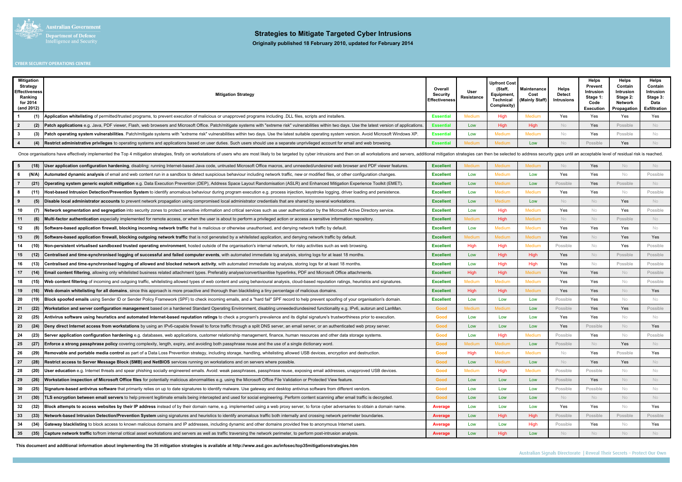

| <b>Mitigation</b><br>Strategy<br><b>Effectiveness</b><br>Ranking<br>for 2014<br>(and 2012) | <b>Mitigation Strategy</b>                                                                                                                                                                              | Overall<br><b>Security</b><br><b>Effectiveness</b> | User<br>Resistance | <b>Upfront Cost</b><br>(Staff<br>Equipment,<br>Technical<br>Complexity) | <b>Maintenance</b><br>Cost<br>(Mainly Staff) | <b>Helps</b><br><b>Detect</b><br><b>Intrusions</b> | Helps<br>Prevent<br>Intrusion<br>Stage 1:<br>Code<br>Execution | Helps<br>Contain<br>Intrusion<br>Stage 2:<br><b>Network</b><br><b>Propagation</b> Exfiltration | Helps<br>Contain<br>Intrusion<br>Stage 3:<br>Data |
|--------------------------------------------------------------------------------------------|---------------------------------------------------------------------------------------------------------------------------------------------------------------------------------------------------------|----------------------------------------------------|--------------------|-------------------------------------------------------------------------|----------------------------------------------|----------------------------------------------------|----------------------------------------------------------------|------------------------------------------------------------------------------------------------|---------------------------------------------------|
|                                                                                            | Application whitelisting of permitted/trusted programs, to prevent execution of malicious or unapproved programs including .DLL files, scripts and installers.                                          | <b>Essentia</b>                                    | Medium             | High                                                                    |                                              | Yes                                                | Yes                                                            | Yes                                                                                            | Yes                                               |
|                                                                                            | Patch applications e.g. Java, PDF viewer, Flash, web browsers and Microsoft Office. Patch/mitigate systems with "extreme risk" vulnerabilities within two days. Use the latest version of applications. | issenti                                            | Low                | <b>High</b>                                                             |                                              |                                                    | Yes                                                            | Possible                                                                                       |                                                   |
|                                                                                            | Patch operating system vulnerabilities. Patch/mitigate systems with "extreme risk" vulnerabilities within two days. Use the latest suitable operating system version. Avoid Microsoft Windows XP.       | <b>Essentia</b>                                    | Low                | Medium                                                                  | Mediu                                        |                                                    | Yes                                                            | Possible                                                                                       |                                                   |
|                                                                                            | Restrict administrative privileges to operating systems and applications based on user duties. Such users should use a separate unprivileged account for email and web browsing.                        | <b>Essentia</b>                                    |                    | Medium                                                                  | Low                                          |                                                    | Possible                                                       | Yes                                                                                            |                                                   |

Once organisations have effectively implemented the Top 4 mitigation strategies, firstly on workstations of users who are most likely to be targeted by cyber intrusions and then on all workstations and servers, additional

| - 5<br>(18)<br>User application configuration hardening, disabling: running Internet-based Java code, untrusted Microsoft Office macros, and unneeded/undesired web browser and PDF viewer features.       | <b>Excellent</b> | <b>Medium</b> | Medium        | Medium        | <b>No</b> | Yes      | <b>No</b>  | No.      |
|------------------------------------------------------------------------------------------------------------------------------------------------------------------------------------------------------------|------------------|---------------|---------------|---------------|-----------|----------|------------|----------|
| Automated dynamic analysis of email and web content run in a sandbox to detect suspicious behaviour including network traffic, new or modified files, or other configuration changes.<br>(N/A)<br>-6       | <b>Excellent</b> | Low           | <b>Medium</b> | Low           | Yes       | Yes      | No         | Possible |
| Operating system generic exploit mitigation e.g. Data Execution Prevention (DEP), Address Space Layout Randomisation (ASLR) and Enhanced Mitigation Experience Toolkit (EMET).<br>(21)                     | <b>Excellent</b> | Low           | <b>Medium</b> | Low           | Possible  | Yes      | Possible   | No       |
| (11)<br>-8<br>Host-based Intrusion Detection/Prevention System to identify anomalous behaviour during program execution e.g. process injection, keystroke logging, driver loading and persistence.         | <b>Excellent</b> | Low           | Medium        | Medium        | Yes       | Yes      | No         | Possible |
| (5)<br>Disable local administrator accounts to prevent network propagation using compromised local administrator credentials that are shared by several workstations.                                      | <b>Excellent</b> | Low           | Medium        | Low           | No        | No       | Yes        | No       |
| 10<br>(7)<br>Network segmentation and segregation into security zones to protect sensitive information and critical services such as user authentication by the Microsoft Active Directory service.        | <b>Excellent</b> | Low           | High          | Medium        | Yes       | No.      | Yes        | Possible |
| 11<br>(6)<br>Multi-factor authentication especially implemented for remote access, or when the user is about to perform a privileged action or access a sensitive information repository.                  | <b>Excellent</b> | <b>Medium</b> | High          | Medium        | No        | No       | Possible   | No       |
| 12<br>(8)<br>Software-based application firewall, blocking incoming network traffic that is malicious or otherwise unauthorised, and denying network traffic by default.                                   | <b>Excellent</b> | Low           | Medium        | Medium        | Yes       | Yes      | Yes        | No       |
| 13<br>(9)<br>Software-based application firewall, blocking outgoing network traffic that is not generated by a whitelisted application, and denying network traffic by default.                            | <b>Excellent</b> | <b>Medium</b> | Medium        | Medium        | Yes       | No       | <b>Yes</b> | Yes      |
| 14<br>(10)<br>Non-persistent virtualised sandboxed trusted operating environment, hosted outside of the organisation's internal network, for risky activities such as web browsing.                        | <b>Excellent</b> | High          | High          | Medium        | Possible  | No       | Yes        | Possible |
| 15 <sub>1</sub><br>(12)<br>Centralised and time-synchronised logging of successful and failed computer events, with automated immediate log analysis, storing logs for at least 18 months.                 | <b>Excellent</b> | Low           | High          | <b>High</b>   | Yes       | No       | Possible   | Possible |
| 16<br>(13)<br>Centralised and time-synchronised logging of allowed and blocked network activity, with automated immediate log analysis, storing logs for at least 18 months.                               | <b>Excellent</b> | Low           | High          | High          | Yes       | No       | Possible   | Possible |
| 17<br>(14)<br>Email content filtering, allowing only whitelisted business related attachment types. Preferably analyse/convert/sanitise hyperlinks, PDF and Microsoft Office attachments.                  | <b>Excellent</b> | High          | High          | Medium        | Yes       | Yes      | No         | Possible |
| 18<br>Web content filtering of incoming and outgoing traffic, whitelisting allowed types of web content and using behavioural analysis, cloud-based reputation ratings, heuristics and signatures.<br>(15) | <b>Excellent</b> | <b>Medium</b> | Medium        | Medium        | Yes       | Yes      | <b>No</b>  | Possible |
| 19<br>(16)<br>Web domain whitelisting for all domains, since this approach is more proactive and thorough than blacklisting a tiny percentage of malicious domains.                                        | <b>Excellent</b> | High          | High          | Medium        | Yes       | Yes      | <b>No</b>  | Yes      |
| (19)<br>20<br>Block spoofed emails using Sender ID or Sender Policy Framework (SPF) to check incoming emails, and a "hard fail" SPF record to help prevent spoofing of your organisation's domain.         | <b>Excellent</b> | Low           | Low           | Low           | Possible  | Yes      | No         | No.      |
| (22)<br>21<br>Workstation and server configuration management based on a hardened Standard Operating Environment, disabling unneeded/undesired functionality e.g. IPv6, autorun and LanMan                 | Good             | <b>Medium</b> | Medium        | Low           | Possible  | Yes      | Yes        | Possible |
| 22<br>(25)<br>Antivirus software using heuristics and automated Internet-based reputation ratings to check a program's prevalence and its digital signature's trustworthiness prior to execution.          | Good             | Low           | Low           | Low           | Yes       | Yes      | No         | No       |
| 23<br>(24)<br>Deny direct Internet access from workstations by using an IPv6-capable firewall to force traffic through a split DNS server, an email server, or an authenticated web proxy server.          | <b>Good</b>      | Low           | Low           | Low           | Yes       | Possible | <b>No</b>  | Yes      |
| 24<br>(23)<br>Server application configuration hardening e.g. databases, web applications, customer relationship management, finance, human resources and other data storage systems.                      | Good             | Low           | High          | <b>Medium</b> | Possible  | Yes      | No         | Possible |
| 25<br>(27)<br><b>Enforce a strong passphrase policy</b> covering complexity, length, expiry, and avoiding both passphrase reuse and the use of a single dictionary word.                                   | Good             | <b>Medium</b> | Medium        | Low           | Possible  | No       | Yes        | No       |
| 26<br>(29)<br>Removable and portable media control as part of a Data Loss Prevention strategy, including storage, handling, whitelisting allowed USB devices, encryption and destruction.                  | Good             | High          | Medium        | Medium        | No        | Yes      | Possible   | Yes      |
| 27<br>(28)<br>Restrict access to Server Message Block (SMB) and NetBIOS services running on workstations and on servers where possible.                                                                    | Good             | Low           | Medium        | Low           | No.       | Yes      | Yes        | No       |
| 28<br>(20)<br>User education e.g. Internet threats and spear phishing socially engineered emails. Avoid: weak passphrases, passphrase reuse, exposing email addresses, unapproved USB devices.             | Good             | <b>Medium</b> | High          | <b>Medium</b> | Possible  | Possible | No         | No.      |
| 29<br>(26)<br>Workstation inspection of Microsoft Office files for potentially malicious abnormalities e.g. using the Microsoft Office File Validation or Protected View feature.                          | Good             | Low           | Low           | Low           | Possible  | Yes      | <b>No</b>  | No       |
| 30<br>(25)<br>Signature-based antivirus software that primarily relies on up to date signatures to identify malware. Use gateway and desktop antivirus software from different vendors.                    | Good             | Low           | Low           | Low           | Possible  | Possible | <b>No</b>  | No.      |
| (30)<br>31<br>LS encryption between email servers to help prevent legitimate emails being intercepted and used for social engineering. Perform content scanning after email traffic is decrypted.          | Good             | Low           | Low           | Low           | No        | No       | <b>No</b>  | No       |
| (32)<br>32<br>Block attempts to access websites by their IP address instead of by their domain name, e.g. implemented using a web proxy server, to force cyber adversaries to obtain a domain name.        | Average          | Low           | Low           | Low           | Yes       | Yes      | No         | Yes      |
| 33<br>(33)<br>Network-based Intrusion Detection/Prevention System using signatures and heuristics to identify anomalous traffic both internally and crossing network perimeter boundaries.                 | Average          | Low           | High          | High          | Possible  | Possible | Possible   | Possible |
| 34<br>(34)<br>Gateway blacklisting to block access to known malicious domains and IP addresses, including dynamic and other domains provided free to anonymous Internet users.                             | <b>Average</b>   | Low           | Low           | High          | Possible  | Yes      | <b>No</b>  | Yes      |
| Capture network traffic to/from internal critical asset workstations and servers as well as traffic traversing the network perimeter, to perform post-intrusion analysis.<br>35<br>(35)                    | <b>Average</b>   | Low           | High          | Low           | <b>No</b> | No       | <b>No</b>  | No       |

#### **Strategies to Mitigate Targeted Cyber Intrusions**

**This document and additional information about implementing the 35 mitigation strategies is available at http://www.asd.gov.au/infosec/top35mitigationstrategies.htm**

Australian Signals Directorate | Reveal Their Secrets - Protect Our Own

**Originally published 18 February 2010, updated for February 2014**

#### **CYBER SECURITY OPERATIONS CENTRE**